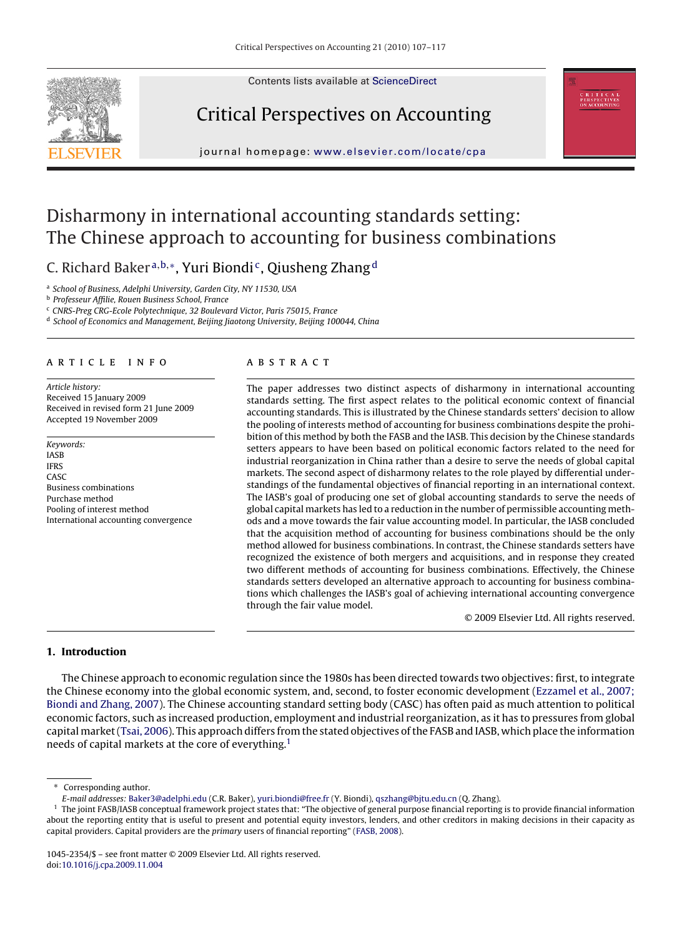Contents lists available at [ScienceDirect](http://www.sciencedirect.com/science/journal/10452354)







journal homepage: [www.elsevier.com/locate/cpa](http://www.elsevier.com/locate/cpa)

## Disharmony in international accounting standards setting: The Chinese approach to accounting for business combinations

C. Richard Baker<sup>a,b,∗</sup>, Yuri Biondi<sup>c</sup>, Qiusheng Zhang<sup>d</sup>

<sup>a</sup> School of Business, Adelphi University, Garden City, NY 11530, USA

<sup>b</sup> Professeur Affilie, Rouen Business School, France

<sup>c</sup> CNRS-Preg CRG-Ecole Polytechnique, 32 Boulevard Victor, Paris 75015, France

<sup>d</sup> School of Economics and Management, Beijing Jiaotong University, Beijing 100044, China

#### article info

Article history: Received 15 January 2009 Received in revised form 21 June 2009 Accepted 19 November 2009

Keywords: IASB IFRS CASC Business combinations Purchase method Pooling of interest method International accounting convergence

#### ABSTRACT

The paper addresses two distinct aspects of disharmony in international accounting standards setting. The first aspect relates to the political economic context of financial accounting standards. This is illustrated by the Chinese standards setters' decision to allow the pooling of interests method of accounting for business combinations despite the prohibition of this method by both the FASB and the IASB. This decision by the Chinese standards setters appears to have been based on political economic factors related to the need for industrial reorganization in China rather than a desire to serve the needs of global capital markets. The second aspect of disharmony relates to the role played by differential understandings of the fundamental objectives of financial reporting in an international context. The IASB's goal of producing one set of global accounting standards to serve the needs of global capital markets has led to a reduction in the number of permissible accounting methods and a move towards the fair value accounting model. In particular, the IASB concluded that the acquisition method of accounting for business combinations should be the only method allowed for business combinations. In contrast, the Chinese standards setters have recognized the existence of both mergers and acquisitions, and in response they created two different methods of accounting for business combinations. Effectively, the Chinese standards setters developed an alternative approach to accounting for business combinations which challenges the IASB's goal of achieving international accounting convergence through the fair value model.

© 2009 Elsevier Ltd. All rights reserved.

### **1. Introduction**

The Chinese approach to economic regulation since the 1980s has been directed towards two objectives: first, to integrate the Chinese economy into the global economic system, and, second, to foster economic development [\(Ezzamel et al., 2007;](#page--1-0) [Biondi and Zhang, 2007\).](#page--1-0) The Chinese accounting standard setting body (CASC) has often paid as much attention to political economic factors, such as increased production, employment and industrial reorganization, as it has to pressures from global capital market ([Tsai, 2006\).](#page--1-0) This approach differs from the stated objectives of the FASB and IASB, which place the information needs of capital markets at the core of everything.1

∗ Corresponding author.

E-mail addresses: [Baker3@adelphi.edu](mailto:Baker3@adelphi.edu) (C.R. Baker), [yuri.biondi@free.fr](mailto:yuri.biondi@free.fr) (Y. Biondi), [qszhang@bjtu.edu.cn](mailto:qszhang@bjtu.edu.cn) (Q. Zhang).

 $1$  The joint FASB/IASB conceptual framework project states that: "The objective of general purpose financial reporting is to provide financial information about the reporting entity that is useful to present and potential equity investors, lenders, and other creditors in making decisions in their capacity as capital providers. Capital providers are the primary users of financial reporting" [\(FASB, 2008\).](#page--1-0)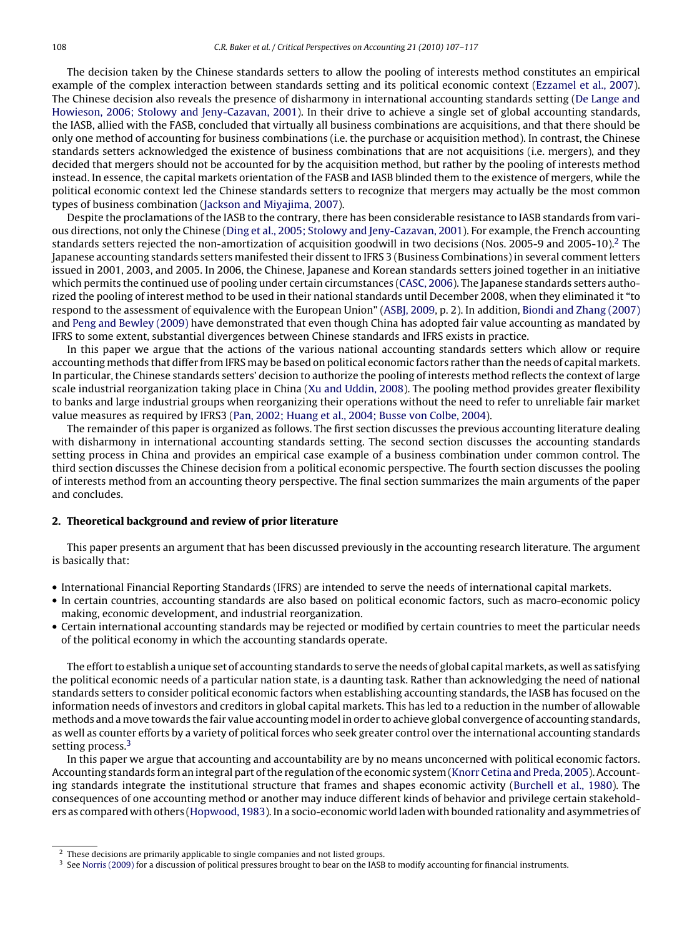The decision taken by the Chinese standards setters to allow the pooling of interests method constitutes an empirical example of the complex interaction between standards setting and its political economic context [\(Ezzamel et al., 2007\).](#page--1-0) The Chinese decision also reveals the presence of disharmony in international accounting standards setting [\(De Lange and](#page--1-0) [Howieson, 2006; Stolowy and Jeny-Cazavan, 2001\).](#page--1-0) In their drive to achieve a single set of global accounting standards, the IASB, allied with the FASB, concluded that virtually all business combinations are acquisitions, and that there should be only one method of accounting for business combinations (i.e. the purchase or acquisition method). In contrast, the Chinese standards setters acknowledged the existence of business combinations that are not acquisitions (i.e. mergers), and they decided that mergers should not be accounted for by the acquisition method, but rather by the pooling of interests method instead. In essence, the capital markets orientation of the FASB and IASB blinded them to the existence of mergers, while the political economic context led the Chinese standards setters to recognize that mergers may actually be the most common types of business combination ([Jackson and Miyajima, 2007\).](#page--1-0)

Despite the proclamations of the IASB to the contrary, there has been considerable resistance to IASB standards from various directions, not only the Chinese ([Ding et al., 2005; Stolowy and Jeny-Cazavan, 2001\).](#page--1-0) For example, the French accounting standards setters rejected the non-amortization of acquisition goodwill in two decisions (Nos. 2005-9 and 2005-10).<sup>2</sup> The Japanese accounting standards setters manifested their dissent to IFRS 3 (Business Combinations) in several comment letters issued in 2001, 2003, and 2005. In 2006, the Chinese, Japanese and Korean standards setters joined together in an initiative which permits the continued use of pooling under certain circumstances ([CASC, 2006\).](#page--1-0) The Japanese standards setters authorized the pooling of interest method to be used in their national standards until December 2008, when they eliminated it "to respond to the assessment of equivalence with the European Union" [\(ASBJ, 2009, p](#page--1-0). 2). In addition, [Biondi and Zhang \(2007\)](#page--1-0) and [Peng and Bewley \(2009\)](#page--1-0) have demonstrated that even though China has adopted fair value accounting as mandated by IFRS to some extent, substantial divergences between Chinese standards and IFRS exists in practice.

In this paper we argue that the actions of the various national accounting standards setters which allow or require accounting methods that differ from IFRS may be based on political economic factors rather than the needs of capital markets. In particular, the Chinese standards setters' decision to authorize the pooling of interests method reflects the context of large scale industrial reorganization taking place in China [\(Xu and Uddin, 2008\).](#page--1-0) The pooling method provides greater flexibility to banks and large industrial groups when reorganizing their operations without the need to refer to unreliable fair market value measures as required by IFRS3 [\(Pan, 2002; Huang et al., 2004; Busse von Colbe, 2004\).](#page--1-0)

The remainder of this paper is organized as follows. The first section discusses the previous accounting literature dealing with disharmony in international accounting standards setting. The second section discusses the accounting standards setting process in China and provides an empirical case example of a business combination under common control. The third section discusses the Chinese decision from a political economic perspective. The fourth section discusses the pooling of interests method from an accounting theory perspective. The final section summarizes the main arguments of the paper and concludes.

### **2. Theoretical background and review of prior literature**

This paper presents an argument that has been discussed previously in the accounting research literature. The argument is basically that:

- International Financial Reporting Standards (IFRS) are intended to serve the needs of international capital markets.
- In certain countries, accounting standards are also based on political economic factors, such as macro-economic policy making, economic development, and industrial reorganization.
- Certain international accounting standards may be rejected or modified by certain countries to meet the particular needs of the political economy in which the accounting standards operate.

The effort to establish a unique set of accounting standards to serve the needs of global capital markets, as well as satisfying the political economic needs of a particular nation state, is a daunting task. Rather than acknowledging the need of national standards setters to consider political economic factors when establishing accounting standards, the IASB has focused on the information needs of investors and creditors in global capital markets. This has led to a reduction in the number of allowable methods and a move towards the fair value accounting model in order to achieve global convergence of accounting standards, as well as counter efforts by a variety of political forces who seek greater control over the international accounting standards setting process.<sup>3</sup>

In this paper we argue that accounting and accountability are by no means unconcerned with political economic factors. Accounting standards form an integral part of the regulation of the economic system [\(Knorr Cetina and Preda, 2005\).](#page--1-0) Accounting standards integrate the institutional structure that frames and shapes economic activity [\(Burchell et al., 1980\).](#page--1-0) The consequences of one accounting method or another may induce different kinds of behavior and privilege certain stakeholders as compared with others ([Hopwood, 1983\).](#page--1-0) In a socio-economic world laden with bounded rationality and asymmetries of

These decisions are primarily applicable to single companies and not listed groups.

 $3$  See [Norris \(2009\)](#page--1-0) for a discussion of political pressures brought to bear on the IASB to modify accounting for financial instruments.